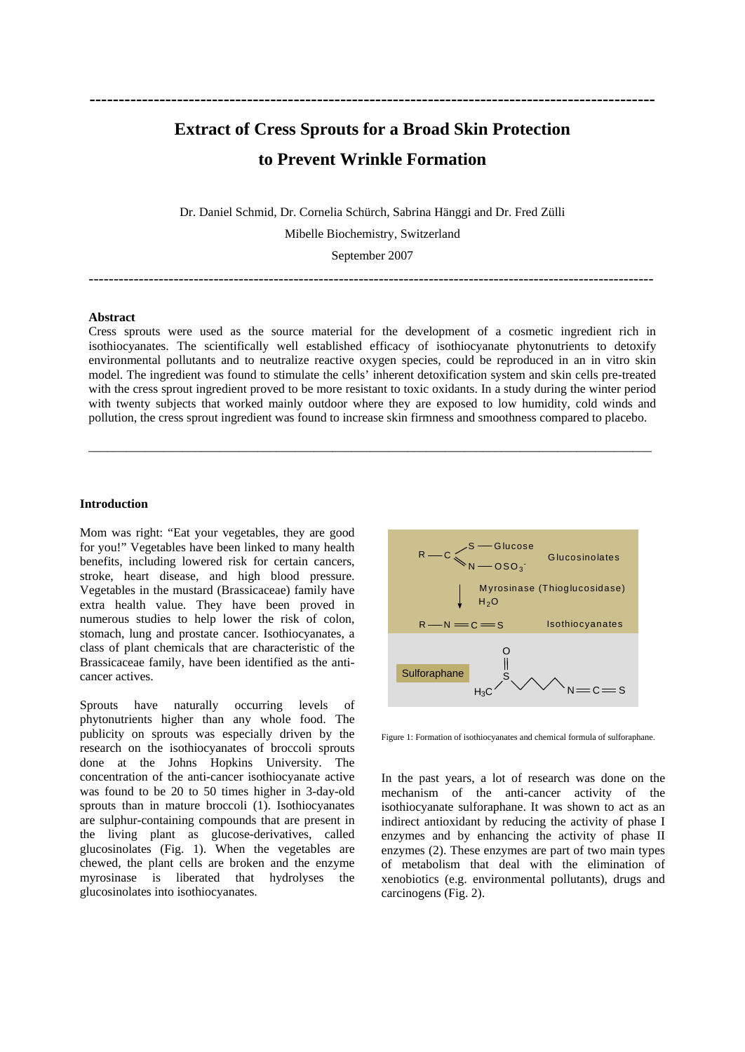## **Extract of Cress Sprouts for a Broad Skin Protection to Prevent Wrinkle Formation**

Dr. Daniel Schmid, Dr. Cornelia Schürch, Sabrina Hänggi and Dr. Fred Zülli

Mibelle Biochemistry, Switzerland

September 2007

#### **Abstract**

Cress sprouts were used as the source material for the development of a cosmetic ingredient rich in isothiocyanates. The scientifically well established efficacy of isothiocyanate phytonutrients to detoxify environmental pollutants and to neutralize reactive oxygen species, could be reproduced in an in vitro skin model. The ingredient was found to stimulate the cells' inherent detoxification system and skin cells pre-treated with the cress sprout ingredient proved to be more resistant to toxic oxidants. In a study during the winter period with twenty subjects that worked mainly outdoor where they are exposed to low humidity, cold winds and pollution, the cress sprout ingredient was found to increase skin firmness and smoothness compared to placebo.

#### **Introduction**

Mom was right: "Eat your vegetables, they are good<br>for you!" Vegetables have been linked to many health<br>handlits, including lowered risk for extrin ennemy.  $R - C \leq 1$ for you!" Vegetables have been linked to many health  $R \rightarrow C \simeq$  S  $\rightarrow$  Glucose Glucosinolates benefits, including lowered risk for certain cancers, stroke, heart disease, and high blood pressure.<br>Vegetables in the mustard (Brassicaceae) family have and the myrosinase (Thioglucosidase) Vegetables in the mustard (Brassicaceae) family have extra health value. They have been proved in numerous studies to help lower the risk of colon,  $R - N = C = S$  Isothiocyanates stomach, lung and prostate cancer. Isothiocyanates, a class of plant chemicals that are characteristic of the Brassicaceae family, have been identified as the anti-<br>cancer actives

Sprouts have naturally occurring levels of phytonutrients higher than any whole food. The publicity on sprouts was especially driven by the research on the isothiocyanates of broccoli sprouts done at the Johns Hopkins University. The concentration of the anti-cancer isothiocyanate active concentration of the anti-cancer isothiocyanate active In the past years, a lot of research was done on the myrosinase is liberated that hydrolyses the glucosinolates into isothiocyanates.



**-------------------------------------------------------------------------------------------------**

-----------------------------------------------------------------------------------------------------------------

\_\_\_\_\_\_\_\_\_\_\_\_\_\_\_\_\_\_\_\_\_\_\_\_\_\_\_\_\_\_\_\_\_\_\_\_\_\_\_\_\_\_\_\_\_\_\_\_\_\_\_\_\_\_\_\_\_\_\_\_\_\_\_\_\_\_\_\_\_\_\_\_\_\_\_\_\_\_\_\_\_\_\_\_\_\_\_\_\_\_

Figure 1: Formation of isothiocyanates and chemical formula of sulforaphane.

was found to be 20 to 50 times higher in 3-day-old mechanism of the anti-cancer activity of the sprouts than in mature broccoli (1). Isothiocyanates isothiocyanate sulforaphane. It was shown to act as an are sulphur-containing compounds that are present in indirect antioxidant by reducing the activity of phase I the living plant as glucose-derivatives, called enzymes and by enhancing the activity of phase II glucosinolates (Fig. 1). When the vegetables are enzymes (2). These enzymes are part of two main types chewed, the plant cells are broken and the enzyme of metabolism that deal with the elimination of xenobiotics (e.g. environmental pollutants), drugs and carcinogens (Fig. 2).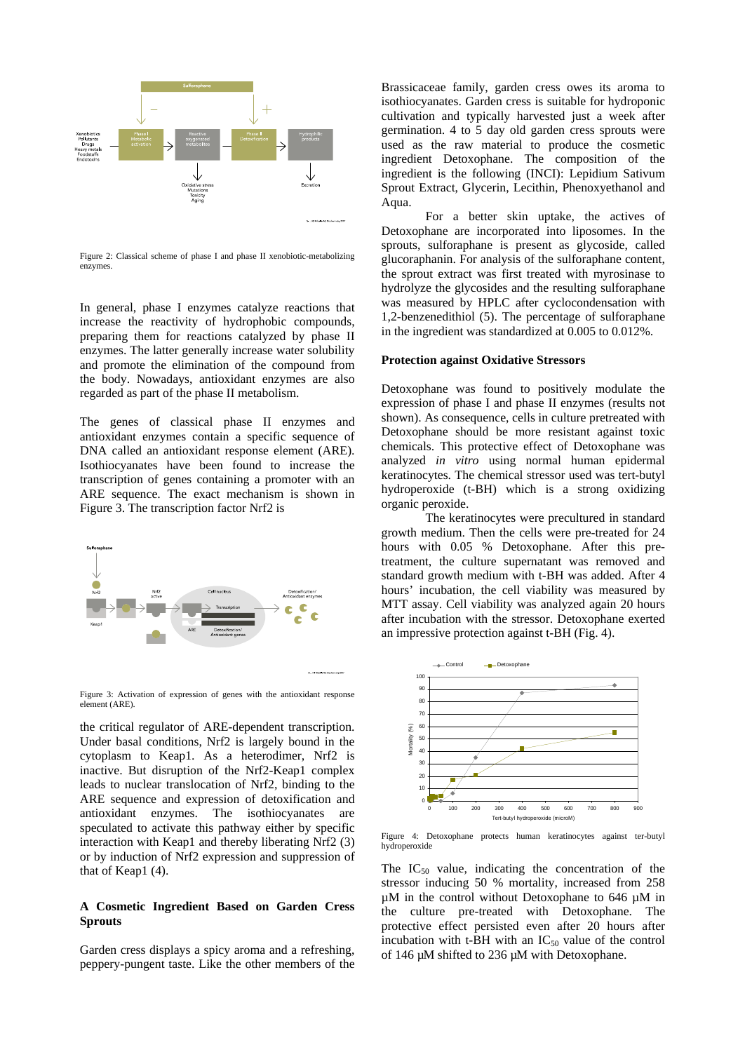

Figure 2: Classical scheme of phase I and phase II xenobiotic-metabolizing

In general, phase I enzymes catalyze reactions that increase the reactivity of hydrophobic compounds, preparing them for reactions catalyzed by phase II enzymes. The latter generally increase water solubility and promote the elimination of the compound from the body. Nowadays, antioxidant enzymes are also regarded as part of the phase II metabolism.

The genes of classical phase II enzymes and antioxidant enzymes contain a specific sequence of DNA called an antioxidant response element (ARE). Isothiocyanates have been found to increase the transcription of genes containing a promoter with an ARE sequence. The exact mechanism is shown in Figure 3. The transcription factor Nrf2 is



Figure 3: Activation of expression of genes with the antioxidant response  $\frac{90}{80}$ element (ARE).  $\sim$ 

the critical regulator of ARE-dependent transcription.<br>Under basal conditions, Nrf2 is largely bound in the<br>extendent to Keep between the Later of the state of the state of the state of the state of the state of the state Under basal conditions, Nrf2 is largely bound in the  $\frac{2}{3}$  set cytoplasm to Keap1. As a heterodimer, Nrf2 is  $\frac{1}{3}$ inactive. But disruption of the Nrf2-Keap1 complex leads to nuclear translocation of Nrf2, binding to the ARE sequence and expression of detoxification and antioxidant enzymes. The isothiocyanates are  $\frac{1}{200}$   $\frac{1}{200}$   $\frac{200}{200}$   $\frac{400}{200}$   $\frac{1}{200}$   $\frac{600}{200}$ speculated to activate this pathway either by specific interaction with Keap1 and thereby liberating Nrf2  $(3)$  hydroperoxide or by induction of Nrf2 expression and suppression of

# **A Cosmetic Ingredient Based on Garden Cress**

Garden cress displays a spicy aroma and a refreshing, peppery-pungent taste. Like the other members of the

Brassicaceae family, garden cress owes its aroma to isothiocyanates. Garden cress is suitable for hydroponic cultivation and typically harvested just a week after germination. 4 to 5 day old garden cress sprouts were used as the raw material to produce the cosmetic ingredient Detoxophane. The composition of the ingredient is the following (INCI): Lepidium Sativum Sprout Extract, Glycerin, Lecithin, Phenoxyethanol and Aqua.

Figure 2: Classical scheme of phase 1 and phase 11 xenobiotic-metabolizing glucoraphanin. For analysis of the sulforaphane content, enzymes. For a better skin uptake, the actives of Detoxophane are incorporated into liposomes. In the sprouts, sulforaphane is present as glycoside, called the sprout extract was first treated with myrosinase to hydrolyze the glycosides and the resulting sulforaphane was measured by HPLC after cyclocondensation with 1,2-benzenedithiol (5). The percentage of sulforaphane in the ingredient was standardized at 0.005 to 0.012%.

#### **Protection against Oxidative Stressors**

Detoxophane was found to positively modulate the expression of phase I and phase II enzymes (results not shown). As consequence, cells in culture pretreated with Detoxophane should be more resistant against toxic chemicals. This protective effect of Detoxophane was analyzed *in vitro* using normal human epidermal keratinocytes. The chemical stressor used was tert-butyl hydroperoxide (t-BH) which is a strong oxidizing organic peroxide.

The keratinocytes were precultured in standard growth medium. Then the cells were pre-treated for 24 hours with 0.05 % Detoxophane. After this pretreatment, the culture supernatant was removed and standard growth medium with t-BH was added. After 4 hours' incubation, the cell viability was measured by MTT assay. Cell viability was analyzed again 20 hours after incubation with the stressor. Detoxophane exerted an impressive protection against t-BH (Fig. 4).



Figure 4: Detoxophane protects human keratinocytes against ter-butyl hydroperoxide

that of Keap1 (4). The  $IC_{50}$  value, indicating the concentration of the **Sprouts** protective effect persisted even after 20 hours after stressor inducing 50 % mortality, increased from 258 µM in the control without Detoxophane to 646 µM in the culture pre-treated with Detoxophane. The incubation with t-BH with an  $IC_{50}$  value of the control of 146 µM shifted to 236 µM with Detoxophane.